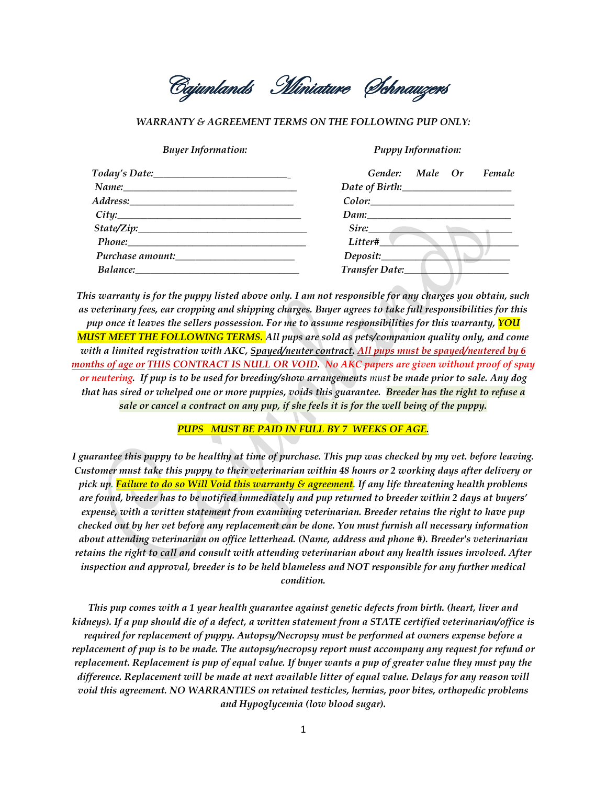Cajunlands Miniature Schnauzers

## *WARRANTY & AGREEMENT TERMS ON THE FOLLOWING PUP ONLY:*

## *Buyer Information: Puppy Information:*

| Today's Date:                                                                                                                                                                                                                       | Gender: Male Or<br>Female |
|-------------------------------------------------------------------------------------------------------------------------------------------------------------------------------------------------------------------------------------|---------------------------|
| Name: Namer                                                                                                                                                                                                                         |                           |
|                                                                                                                                                                                                                                     | Color.                    |
| City:                                                                                                                                                                                                                               | Dam:                      |
| $State\text{Zip:}\_$                                                                                                                                                                                                                | Sire:                     |
| Phone: Phone Phone Phone Phone Phone Phone Phone Phone Phone Phone Phone Phone Phone Phone Phone Phone Phone Phone Phone Phone Phone Phone Phone Phone Phone Phone Phone Phone Phone Phone Phone Phone Phone Phone Phone Phone      | Litter#                   |
| Purchase amount:                                                                                                                                                                                                                    | Deposit:                  |
| <b>Balance:</b> The contract of the contract of the contract of the contract of the contract of the contract of the contract of the contract of the contract of the contract of the contract of the contract of the contract of the | Transfer Date:            |

*This warranty is for the puppy listed above only. I am not responsible for any charges you obtain, such as veterinary fees, ear cropping and shipping charges. Buyer agrees to take full responsibilities for this pup once it leaves the sellers possession. For me to assume responsibilities for this warranty, YOU MUST MEET THE FOLLOWING TERMS. All pups are sold as pets/companion quality only, and come with a limited registration with AKC, Spayed/neuter contract. All pups must be spayed/neutered by 6 months of age or THIS CONTRACT IS NULL OR VOID. No AKC papers are given without proof of spay or neutering. If pup is to be used for breeding/show arrangements must be made prior to sale. Any dog that has sired or whelped one or more puppies, voids this guarantee. Breeder has the right to refuse a sale or cancel a contract on any pup, if she feels it is for the well being of the puppy.*

## *PUPS MUST BE PAID IN FULL BY 7 WEEKS OF AGE.*

*I guarantee this puppy to be healthy at time of purchase. This pup was checked by my vet. before leaving. Customer must take this puppy to their veterinarian within 48 hours or 2 working days after delivery or pick up. Failure to do so Will Void this warranty & agreement. If any life threatening health problems are found, breeder has to be notified immediately and pup returned to breeder within 2 days at buyers' expense, with a written statement from examining veterinarian. Breeder retains the right to have pup checked out by her vet before any replacement can be done. You must furnish all necessary information about attending veterinarian on office letterhead. (Name, address and phone #). Breeder's veterinarian retains the right to call and consult with attending veterinarian about any health issues involved. After inspection and approval, breeder is to be held blameless and NOT responsible for any further medical condition.* 

*This pup comes with a 1 year health guarantee against genetic defects from birth. (heart, liver and kidneys). If a pup should die of a defect, a written statement from a STATE certified veterinarian/office is required for replacement of puppy. Autopsy/Necropsy must be performed at owners expense before a replacement of pup is to be made. The autopsy/necropsy report must accompany any request for refund or replacement. Replacement is pup of equal value. If buyer wants a pup of greater value they must pay the difference. Replacement will be made at next available litter of equal value. Delays for any reason will void this agreement. NO WARRANTIES on retained testicles, hernias, poor bites, orthopedic problems and Hypoglycemia (low blood sugar).*